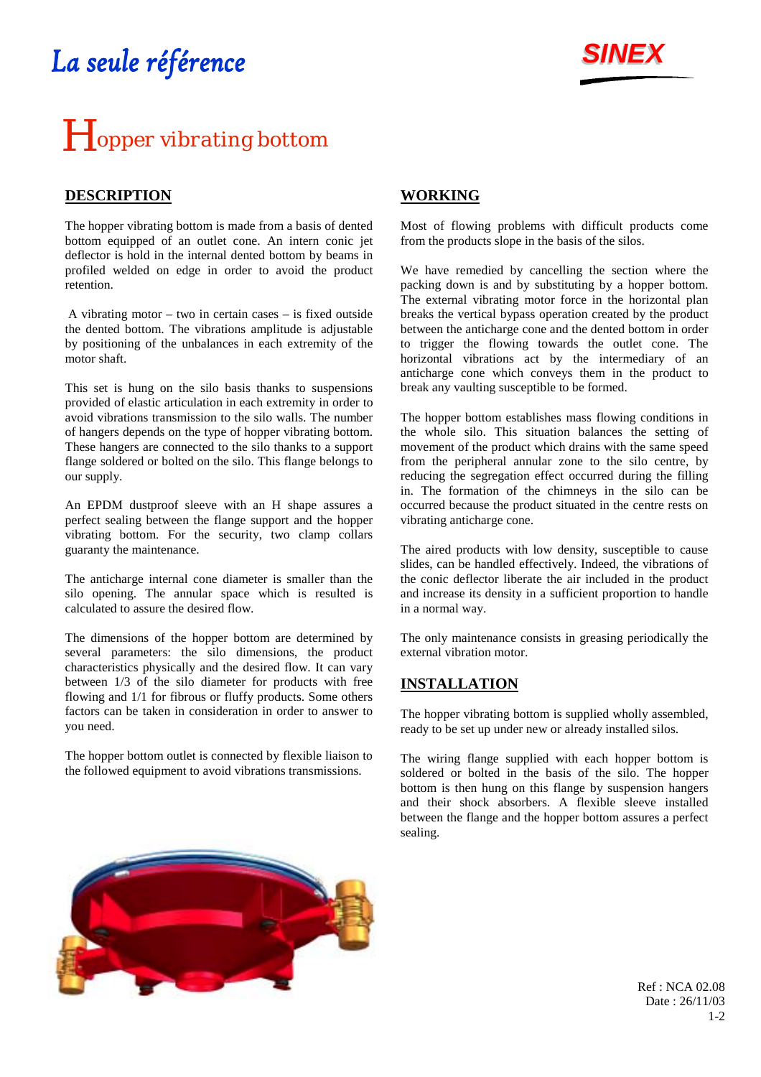## La seule référence



# **H**opper vibrating bottom

### **DESCRIPTION**

The hopper vibrating bottom is made from a basis of dented bottom equipped of an outlet cone. An intern conic jet deflector is hold in the internal dented bottom by beams in profiled welded on edge in order to avoid the product retention.

 A vibrating motor – two in certain cases – is fixed outside the dented bottom. The vibrations amplitude is adjustable by positioning of the unbalances in each extremity of the motor shaft.

This set is hung on the silo basis thanks to suspensions provided of elastic articulation in each extremity in order to avoid vibrations transmission to the silo walls. The number of hangers depends on the type of hopper vibrating bottom. These hangers are connected to the silo thanks to a support flange soldered or bolted on the silo. This flange belongs to our supply.

An EPDM dustproof sleeve with an H shape assures a perfect sealing between the flange support and the hopper vibrating bottom. For the security, two clamp collars guaranty the maintenance.

The anticharge internal cone diameter is smaller than the silo opening. The annular space which is resulted is calculated to assure the desired flow.

The dimensions of the hopper bottom are determined by several parameters: the silo dimensions, the product characteristics physically and the desired flow. It can vary between 1/3 of the silo diameter for products with free flowing and 1/1 for fibrous or fluffy products. Some others factors can be taken in consideration in order to answer to you need.

The hopper bottom outlet is connected by flexible liaison to the followed equipment to avoid vibrations transmissions.

#### **WORKING**

Most of flowing problems with difficult products come from the products slope in the basis of the silos.

We have remedied by cancelling the section where the packing down is and by substituting by a hopper bottom. The external vibrating motor force in the horizontal plan breaks the vertical bypass operation created by the product between the anticharge cone and the dented bottom in order to trigger the flowing towards the outlet cone. The horizontal vibrations act by the intermediary of an anticharge cone which conveys them in the product to break any vaulting susceptible to be formed.

The hopper bottom establishes mass flowing conditions in the whole silo. This situation balances the setting of movement of the product which drains with the same speed from the peripheral annular zone to the silo centre, by reducing the segregation effect occurred during the filling in. The formation of the chimneys in the silo can be occurred because the product situated in the centre rests on vibrating anticharge cone.

The aired products with low density, susceptible to cause slides, can be handled effectively. Indeed, the vibrations of the conic deflector liberate the air included in the product and increase its density in a sufficient proportion to handle in a normal way.

The only maintenance consists in greasing periodically the external vibration motor.

#### **INSTALLATION**

The hopper vibrating bottom is supplied wholly assembled. ready to be set up under new or already installed silos.

The wiring flange supplied with each hopper bottom is soldered or bolted in the basis of the silo. The hopper bottom is then hung on this flange by suspension hangers and their shock absorbers. A flexible sleeve installed between the flange and the hopper bottom assures a perfect sealing.



Ref : NCA 02.08 Date : 26/11/03 1-2